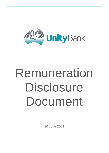

# Remuneration Disclosure Document

30 June 2021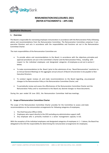

# **REMUNERATIONDISCLOSURES: 2021 (REFER ATTACHMENTG – APS 330)**

#### **Qualitative Disclosures**

#### **1. Overview**

The Board is responsible for overseeing employee remuneration in accordance with the Remuneration Policy following advice and recommendations from the Remuneration Committee. The Remuneration Committee comprises 3 nonexecutive Directors and acts in accordance with the responsibilities and functions set out in the Remuneration Committee Charter.

The main responsibilities of the Remuneration Committee are:

- To provide advice and recommendations to the Board, in accordance with the objectives, principles and approval procedures set out in the Committee's Charter and the Remuneration Policy, including with respect to the individual employees and designated categories of employees as set out in section 2 below;
- To make recommendations to the Board (prior to the submission of any 'Board Remuneration' resolution to an Annual General Meeting) on the aggregate annual amount of Board remuneration to be payable to Non-Executive Directors;
- To conduct regular reviews of, and make recommendations to the Board regarding, any proposed changes to the Remuneration Policy or the Remuneration Committee Charter; and
- To periodically review and assess the effectiveness of the Remuneration Committee Charter and the Remuneration Policy and to recommend to the Board any desired changes to those documents.

During the year ended 30 June 2021, the Remuneration Committee held two meetings.

#### **2. Scope of Remuneration Committee Charter**

The scope of the Remuneration Committee Charter provides for the Committee to assess and make recommendations on the remuneration arrangements for following categories of employees;

- 1. The Chief Executive Officer (CEO);
- 2. Employees who report directly to the CEO excluding any administrative support staff;
- 3. Any employee who is primarily involved in a senior management capacity in risk.

With the exception of the individual employees and designated categories of employees in  $1 - 3$  above, the Board has delegated to the CEO the responsibility for determining the remuneration arrangements for employees.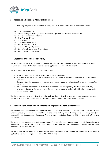

## **3. Responsible Persons & Material Risk-takers**

The following employees are classified as 'Responsible Persons' under the Fit and Proper Policy:

- 3.1. Chief Executive Officer
- 3.2. General Manager, Treasury & Strategic Alliances position abolished 30 October 2020
- 3.3. General Manager, Sales & Service
- 3.4. Chief Financial Officer
- 3.5. Chief Risk Officer
- 3.6. Chief Information Officer
- 3.7. Head of People & Culture
- 3.8. Executive Manager Operations
- 3.9. Head of Legal, Governance & Compliance
- 3.10.Head of Audit/Internal Auditor

#### **4. Objectives of Remuneration Policy**

The Remuneration Policy is designed to support the strategic and commercial objectives while at all times ensuring compliance with the Corporations Act and applicable APRA Prudential standards.

The main objectives of the remuneration framework are:

- To attract and retain suitably skilled and experienced employees;
- To minimise the risk of the Bank being exposed to the sudden or unexpected departure of key management personnel;
- To ensure that the structure of employee remuneration supports the long-term financial soundness of the Bank; and
- To ensure that any variable remuneration components are appropriately structured such that they provide **no incentive** for any employee (whether acting alone or collectively with others) to engage in imprudent risk-taking.

The Remuneration Policy is reviewed annually and was last reviewed by the R emuneration Committee and the Board in June 2021. There were no material changes made to the policy during that review.

#### **5. Variable Remuneration Components: Principles and Approval Procedures**

The remuneration arrangements for employees who are primarily involved, at a senior management level in Risk functions (including the annual review of those arrangements and any material changes to those arrangements) are approved by the Remuneration Committee following recommendations from the CEO and the Chair of the Risk Committee.

The Remuneration arrangements for Sales and Service, Finance, Information Management, People & Culture, Business Operations, Compliance and Internal Audit functions are approved the Remuneration Committee following recommendations from the CEO.

The Board approves the pool of funds which may be distributed as part of the Rewards and Recognition Scheme which applies to all staff (excluding those positions  $3.1 - 3.10$  above).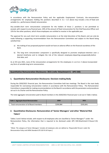

In accordance with the Remuneration Policy and the applicable Employment Contracts, the remuneration arrangements for employees holding the positions described in  $3.1 - 3.3$  above may include a mix of fixed and variable (i.e., performance-linked) remuneration.

Any variable short term remuneration component for the holders of those 2 positions is not permitted to exceed, with respect to any financial year, 20% of the amount of fixed remuneration for the Chief Executive Officer and 15% for the other positions, which those employees are entitled to receive in the applicable year.

The approval for any such short term variable remuneration is at the total discretion of the Board, and can only be made following a supporting recommendation from the Remuneration Committee and subject to the Board being satisfied that -

- a) the making of any proposed payment would not have an adverse effect on the financial soundness of the Bank.
- b) The long term remuneration component is specifically designed to promote employee retention over a desired timeframe and to mitigate the risk of the relevant employees departing unexpectedly before that date; and

As at 30 June 2021, none of the remuneration arrangements for the employees in section 3 above incorporated any form of variable long term remuneration.

### **Quantitative Remuneration Disclosures: 2021 (refer Attachment G - APS 330)**

#### **1. Quantitative Remuneration Disclosures: Decision-making Body**

During the 2020/2021 financial year, the Remuneration Committee held two meetings. The Board is the main body responsible for overseeing remuneration matters in accordance with the Remuneration Policy. The Remuneration Committee is responsible for making recommendations to the Board in accordance with the parameters and procedures set out in its Charter and the Remuneration Policy.

The total aggregate remuneration paid to Board members in the 2020/2021 financial year is set out in Table 1 below.

| Table 1: Aggregate Board Remuneration   | 2020      | 2021      |
|-----------------------------------------|-----------|-----------|
| Total remuneration of all Board members | \$299.984 | \$335.841 |

## **2. Quantitative Disclosures: Remuneration of 'Senior Managers' and other 'Material Risk Takers'**

Tables 2 and 3 below include, with respect to all employees who are classified as 'Senior Managers'\* under the Remuneration Policy, the information that is required to be disclosed under APS 330 Attachment E Clause 3 (h)  $-$  (k).

\*[Note: The category of 'Senior Managers' includes all employees who are defined as 'Responsible Persons' under the *Remuneration Policy and APRA Standard CPS 520 Fit & Proper.]*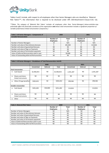

Tables 4 and 5 include, with respect to all employees other than Senior Managers who are classified as 'Material Risk Takers'\*\*, the information that is required to be disclosed under APS 330 Attachment E Clause 3 (h) – (k).

*\*\*[Note: The category of 'Material Risk Takers' includes all employees other than 'Senior Managers' whose activities may* potentially affect the financially soundness of the organisation and whose total remuneration includes a significant proportion of *variable performance-linked remuneration components.]*

| Table 2: All Senior Managers - Components of<br><b>Variable Remuneration</b> | 2020                          |              | 2021                          |              |
|------------------------------------------------------------------------------|-------------------------------|--------------|-------------------------------|--------------|
|                                                                              | Number of<br><b>Employees</b> | <b>Total</b> | Number of<br><b>Employees</b> | <b>Total</b> |
| <b>Number of Senior Managers</b>                                             | 10                            | N/A          | 11                            | N/A          |
| Number and value of discretionary bonuses                                    |                               | 201,402      |                               | 114,816      |
| Number and value of guaranteed bonuses                                       | Nil                           | Nil          | Nil                           | Nil          |
| Number and value of Sign-on Payments                                         | Nil                           | Nil          | Nil                           | Nil          |
| Number and value of termination payments                                     | Nil                           | Nil          | Nil                           | Nil          |
| Value of Deferred Remuneration paid in year                                  |                               | 50,000       | Nil                           | Nil          |
| Value of Outstanding deferred Remuneration                                   | Nil                           | Nil          | Nil                           | Nil          |

| Table 3: All Senior Managers - Breakdown of Total Remuneration awards |                     |                 |              |                     |                 |           |
|-----------------------------------------------------------------------|---------------------|-----------------|--------------|---------------------|-----------------|-----------|
|                                                                       | 2020                |                 |              | 2021                |                 |           |
|                                                                       | <b>Unrestricted</b> | <b>Deferred</b> | <b>Total</b> | <b>Unrestricted</b> | <b>Deferred</b> | Total     |
| <b>Fixed remuneration</b>                                             |                     |                 |              |                     |                 |           |
| Cash-based<br>٠                                                       | \$2,466,815         | Nil             | \$2,466,815  | 2,591,287           | Nil             | 2,591,287 |
| Shares and share-<br>٠<br>linked instruments                          | Nil                 | Nil             | Nil          | Nil                 | Nil             | Nil       |
| Other (Fringe benefits)<br>$\bullet$                                  | \$302,652           | Nil             | \$302,652    | 298,366             | Nil             | 298,366   |
| <b>Variable remuneration</b>                                          |                     |                 |              |                     |                 |           |
| Cash-based<br>$\bullet$                                               | \$201,402           | \$50,000        | \$251,402    | 114,816             |                 | 114,816   |
| Shares and share-<br>$\bullet$<br>linked instruments                  | Nil                 | Nil             | Nil          | Nil                 | Nil             | Nil       |
| Other                                                                 | Nil                 | Nil             | Nil          | Nil                 | Nil             | Nil       |

| <b>Table 4: Material Risk Takers</b>        | 2020             |       | 2021             |       |  |
|---------------------------------------------|------------------|-------|------------------|-------|--|
|                                             | Number of        | Total | Number of        | Total |  |
|                                             | <b>Employees</b> |       | <b>Employees</b> |       |  |
| <b>Number of Senior Managers</b>            | Nil              | N/A   | Nil              | N/A   |  |
| Number and value of discretionary bonuses   | Nil              | Nil   | Nil              | Nil   |  |
| Number and value of guaranteed bonuses      | Nil              | Nil   | Nil              | Nil   |  |
| Number and value of Sign-on Payments        | Nil              | Nil   | Nil              | Nil   |  |
| Number and value of termination payments    | Nil              | Nil   | Nil              | Nil   |  |
| Value of Deferred Remuneration paid in year | Nil              | Nil   | Nil              | Nil   |  |
| Value of Outstanding deferred Remuneration  | Nil              | Nil   | Nil              | Nil   |  |